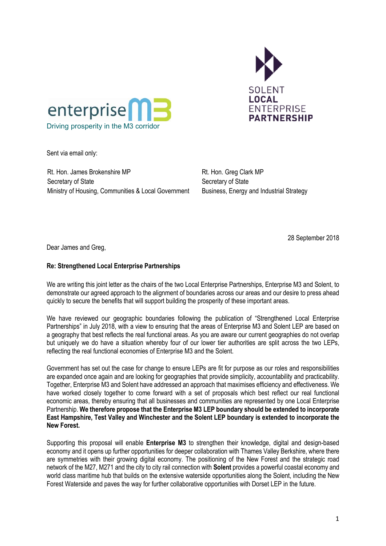



Sent via email only:

Rt. Hon. James Brokenshire MP Secretary of State Ministry of Housing, Communities & Local Government Rt. Hon. Greg Clark MP Secretary of State Business, Energy and Industrial Strategy

28 September 2018

Dear James and Greg,

## **Re: Strengthened Local Enterprise Partnerships**

We are writing this joint letter as the chairs of the two Local Enterprise Partnerships, Enterprise M3 and Solent, to demonstrate our agreed approach to the alignment of boundaries across our areas and our desire to press ahead quickly to secure the benefits that will support building the prosperity of these important areas.

We have reviewed our geographic boundaries following the publication of "Strengthened Local Enterprise Partnerships" in July 2018, with a view to ensuring that the areas of Enterprise M3 and Solent LEP are based on a geography that best reflects the real functional areas. As you are aware our current geographies do not overlap but uniquely we do have a situation whereby four of our lower tier authorities are split across the two LEPs, reflecting the real functional economies of Enterprise M3 and the Solent.

Government has set out the case for change to ensure LEPs are fit for purpose as our roles and responsibilities are expanded once again and are looking for geographies that provide simplicity, accountability and practicability. Together, Enterprise M3 and Solent have addressed an approach that maximises efficiency and effectiveness. We have worked closely together to come forward with a set of proposals which best reflect our real functional economic areas, thereby ensuring that all businesses and communities are represented by one Local Enterprise Partnership. **We therefore propose that the Enterprise M3 LEP boundary should be extended to incorporate East Hampshire, Test Valley and Winchester and the Solent LEP boundary is extended to incorporate the New Forest.** 

Supporting this proposal will enable **Enterprise M3** to strengthen their knowledge, digital and design-based economy and it opens up further opportunities for deeper collaboration with Thames Valley Berkshire, where there are symmetries with their growing digital economy. The positioning of the New Forest and the strategic road network of the M27, M271 and the city to city rail connection with **Solent** provides a powerful coastal economy and world class maritime hub that builds on the extensive waterside opportunities along the Solent, including the New Forest Waterside and paves the way for further collaborative opportunities with Dorset LEP in the future.